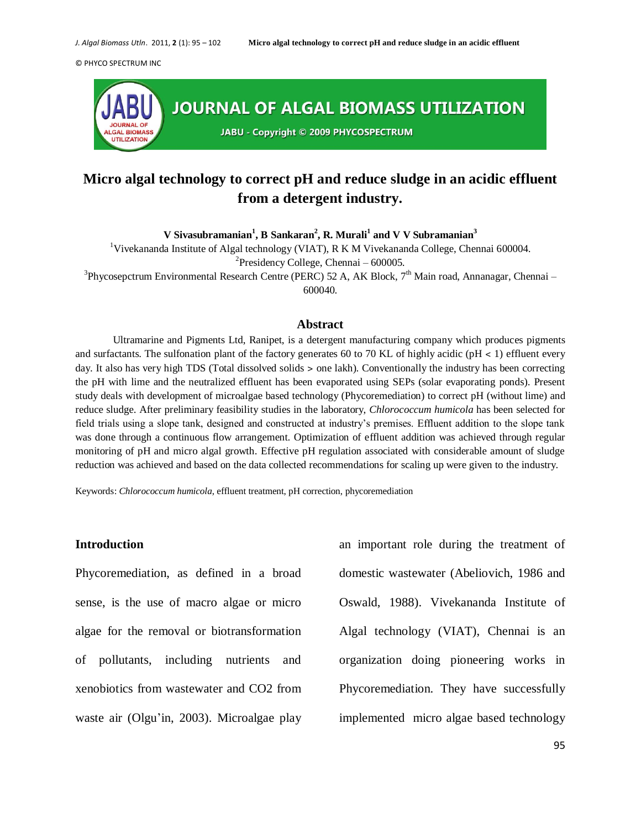

# **Micro algal technology to correct pH and reduce sludge in an acidic effluent from a detergent industry.**

**V Sivasubramanian<sup>1</sup> , B Sankaran<sup>2</sup> , R. Murali<sup>1</sup> and V V Subramanian<sup>3</sup>**

<sup>1</sup>Vivekananda Institute of Algal technology (VIAT), R K M Vivekananda College, Chennai 600004. <sup>2</sup>Presidency College, Chennai –  $600005$ .

<sup>3</sup>Phycosepctrum Environmental Research Centre (PERC) 52 A, AK Block, 7<sup>th</sup> Main road, Annanagar, Chennai – 600040.

## **Abstract**

Ultramarine and Pigments Ltd, Ranipet, is a detergent manufacturing company which produces pigments and surfactants. The sulfonation plant of the factory generates 60 to 70 KL of highly acidic (pH  $\lt$  1) effluent every day. It also has very high TDS (Total dissolved solids > one lakh). Conventionally the industry has been correcting the pH with lime and the neutralized effluent has been evaporated using SEPs (solar evaporating ponds). Present study deals with development of microalgae based technology (Phycoremediation) to correct pH (without lime) and reduce sludge. After preliminary feasibility studies in the laboratory, *Chlorococcum humicola* has been selected for field trials using a slope tank, designed and constructed at industry's premises. Effluent addition to the slope tank was done through a continuous flow arrangement. Optimization of effluent addition was achieved through regular monitoring of pH and micro algal growth. Effective pH regulation associated with considerable amount of sludge reduction was achieved and based on the data collected recommendations for scaling up were given to the industry.

Keywords: *Chlorococcum humicola*, effluent treatment, pH correction, phycoremediation

#### **Introduction**

Phycoremediation, as defined in a broad sense, is the use of macro algae or micro algae for the removal or biotransformation of pollutants, including nutrients and xenobiotics from wastewater and CO2 from waste air (Olgu'in, 2003). Microalgae play an important role during the treatment of domestic wastewater (Abeliovich, 1986 and Oswald, 1988). Vivekananda Institute of Algal technology (VIAT), Chennai is an organization doing pioneering works in Phycoremediation. They have successfully implemented micro algae based technology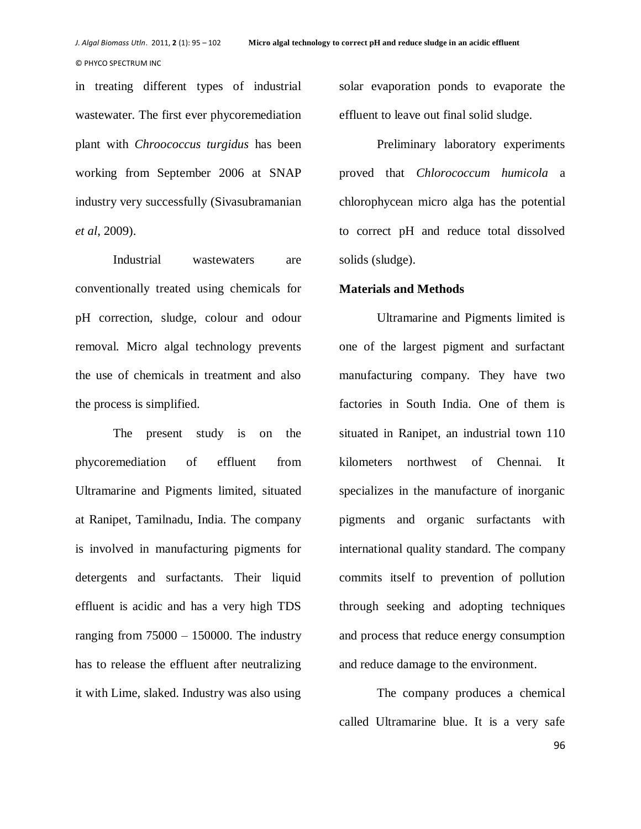in treating different types of industrial wastewater. The first ever phycoremediation plant with *Chroococcus turgidus* has been working from September 2006 at SNAP industry very successfully (Sivasubramanian *et al*, 2009).

Industrial wastewaters are conventionally treated using chemicals for pH correction, sludge, colour and odour removal. Micro algal technology prevents the use of chemicals in treatment and also the process is simplified.

The present study is on the phycoremediation of effluent from Ultramarine and Pigments limited, situated at Ranipet, Tamilnadu, India. The company is involved in manufacturing pigments for detergents and surfactants. Their liquid effluent is acidic and has a very high TDS ranging from  $75000 - 150000$ . The industry has to release the effluent after neutralizing it with Lime, slaked. Industry was also using

solar evaporation ponds to evaporate the effluent to leave out final solid sludge.

Preliminary laboratory experiments proved that *Chlorococcum humicola* a chlorophycean micro alga has the potential to correct pH and reduce total dissolved solids (sludge).

# **Materials and Methods**

Ultramarine and Pigments limited is one of the largest pigment and surfactant manufacturing company. They have two factories in South India. One of them is situated in Ranipet, an industrial town 110 kilometers northwest of Chennai. It specializes in the manufacture of inorganic pigments and organic surfactants with international quality standard. The company commits itself to prevention of pollution through seeking and adopting techniques and process that reduce energy consumption and reduce damage to the environment.

The company produces a chemical called Ultramarine blue. It is a very safe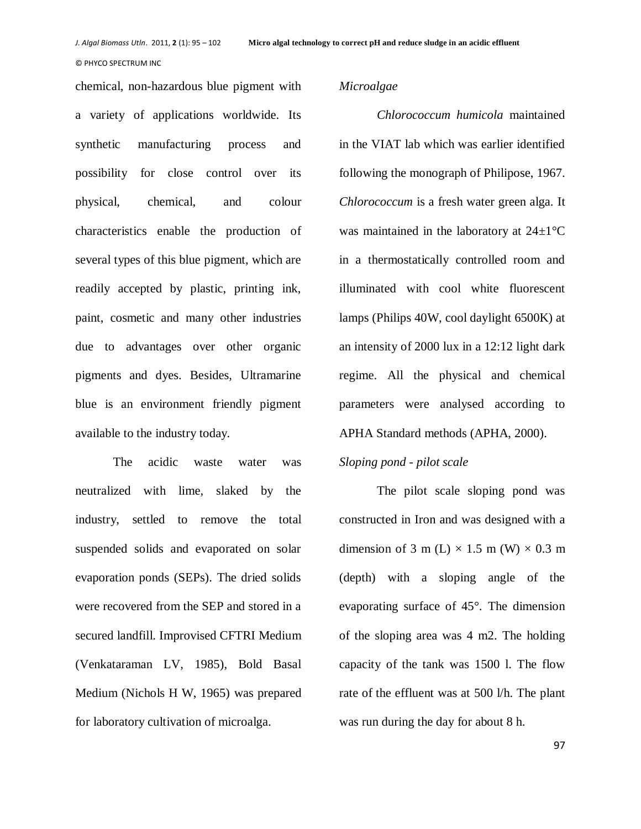chemical, non-hazardous blue pigment with a variety of applications worldwide. Its synthetic manufacturing process and possibility for close control over its physical, chemical, and colour characteristics enable the production of several types of this blue pigment, which are readily accepted by plastic, printing ink, paint, cosmetic and many other industries due to advantages over other organic pigments and dyes. Besides, Ultramarine blue is an environment friendly pigment available to the industry today.

The acidic waste water was neutralized with lime, slaked by the industry, settled to remove the total suspended solids and evaporated on solar evaporation ponds (SEPs). The dried solids were recovered from the SEP and stored in a secured landfill. Improvised CFTRI Medium (Venkataraman LV, 1985), Bold Basal Medium (Nichols H W, 1965) was prepared for laboratory cultivation of microalga.

# *Microalgae*

*Chlorococcum humicola* maintained in the VIAT lab which was earlier identified following the monograph of Philipose, 1967. *Chlorococcum* is a fresh water green alga. It was maintained in the laboratory at  $24\pm1\,^{\circ}\mathrm{C}$ in a thermostatically controlled room and illuminated with cool white fluorescent lamps (Philips 40W, cool daylight 6500K) at an intensity of 2000 lux in a 12:12 light dark regime. All the physical and chemical parameters were analysed according to APHA Standard methods (APHA, 2000).

# *Sloping pond - pilot scale*

The pilot scale sloping pond was constructed in Iron and was designed with a dimension of 3 m (L)  $\times$  1.5 m (W)  $\times$  0.3 m (depth) with a sloping angle of the evaporating surface of 45°. The dimension of the sloping area was 4 m2. The holding capacity of the tank was 1500 l. The flow rate of the effluent was at 500 l/h. The plant was run during the day for about 8 h.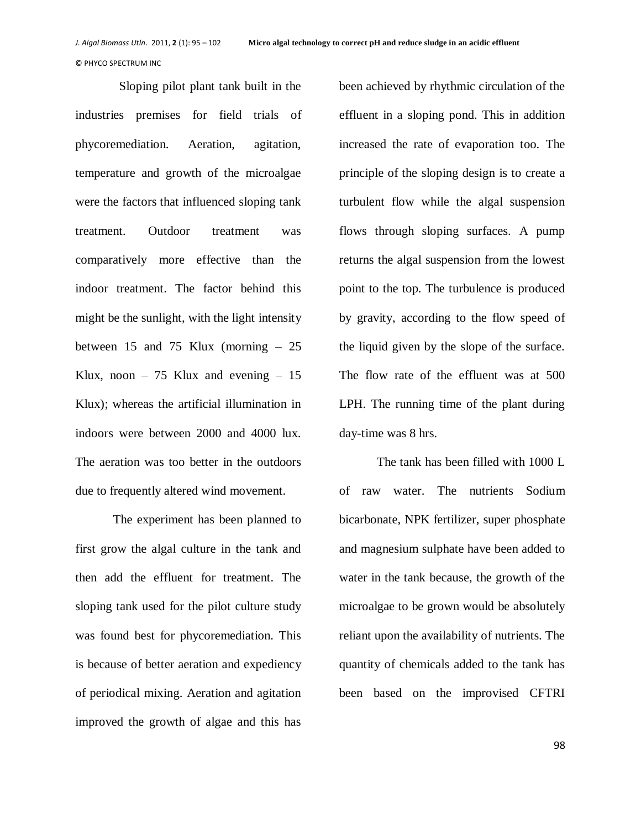Sloping pilot plant tank built in the industries premises for field trials of phycoremediation. Aeration, agitation, temperature and growth of the microalgae were the factors that influenced sloping tank treatment. Outdoor treatment was comparatively more effective than the indoor treatment. The factor behind this might be the sunlight, with the light intensity between 15 and 75 Klux (morning – 25 Klux, noon  $-75$  Klux and evening  $-15$ Klux); whereas the artificial illumination in indoors were between 2000 and 4000 lux. The aeration was too better in the outdoors due to frequently altered wind movement.

The experiment has been planned to first grow the algal culture in the tank and then add the effluent for treatment. The sloping tank used for the pilot culture study was found best for phycoremediation. This is because of better aeration and expediency of periodical mixing. Aeration and agitation improved the growth of algae and this has

been achieved by rhythmic circulation of the effluent in a sloping pond. This in addition increased the rate of evaporation too. The principle of the sloping design is to create a turbulent flow while the algal suspension flows through sloping surfaces. A pump returns the algal suspension from the lowest point to the top. The turbulence is produced by gravity, according to the flow speed of the liquid given by the slope of the surface. The flow rate of the effluent was at 500 LPH. The running time of the plant during day-time was 8 hrs.

The tank has been filled with 1000 L of raw water. The nutrients Sodium bicarbonate, NPK fertilizer, super phosphate and magnesium sulphate have been added to water in the tank because, the growth of the microalgae to be grown would be absolutely reliant upon the availability of nutrients. The quantity of chemicals added to the tank has been based on the improvised CFTRI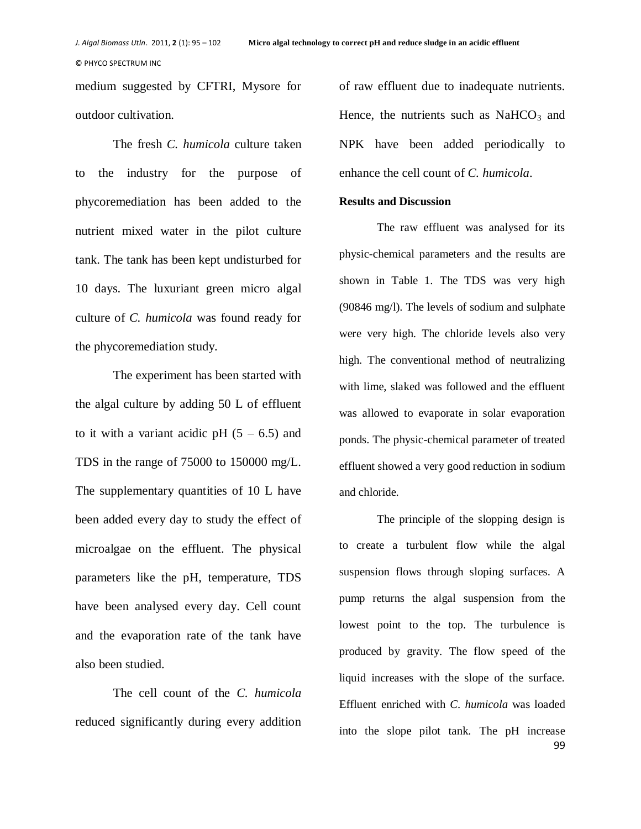medium suggested by CFTRI, Mysore for outdoor cultivation.

The fresh *C. humicola* culture taken to the industry for the purpose of phycoremediation has been added to the nutrient mixed water in the pilot culture tank. The tank has been kept undisturbed for 10 days. The luxuriant green micro algal culture of *C. humicola* was found ready for the phycoremediation study.

The experiment has been started with the algal culture by adding 50 L of effluent to it with a variant acidic pH  $(5 - 6.5)$  and TDS in the range of 75000 to 150000 mg/L. The supplementary quantities of 10 L have been added every day to study the effect of microalgae on the effluent. The physical parameters like the pH, temperature, TDS have been analysed every day. Cell count and the evaporation rate of the tank have also been studied.

The cell count of the *C. humicola* reduced significantly during every addition

of raw effluent due to inadequate nutrients. Hence, the nutrients such as  $NaHCO<sub>3</sub>$  and NPK have been added periodically to enhance the cell count of *C. humicola*.

# **Results and Discussion**

The raw effluent was analysed for its physic-chemical parameters and the results are shown in Table 1. The TDS was very high (90846 mg/l). The levels of sodium and sulphate were very high. The chloride levels also very high. The conventional method of neutralizing with lime, slaked was followed and the effluent was allowed to evaporate in solar evaporation ponds. The physic-chemical parameter of treated effluent showed a very good reduction in sodium and chloride.

99 The principle of the slopping design is to create a turbulent flow while the algal suspension flows through sloping surfaces. A pump returns the algal suspension from the lowest point to the top. The turbulence is produced by gravity. The flow speed of the liquid increases with the slope of the surface. Effluent enriched with *C. humicola* was loaded into the slope pilot tank. The pH increase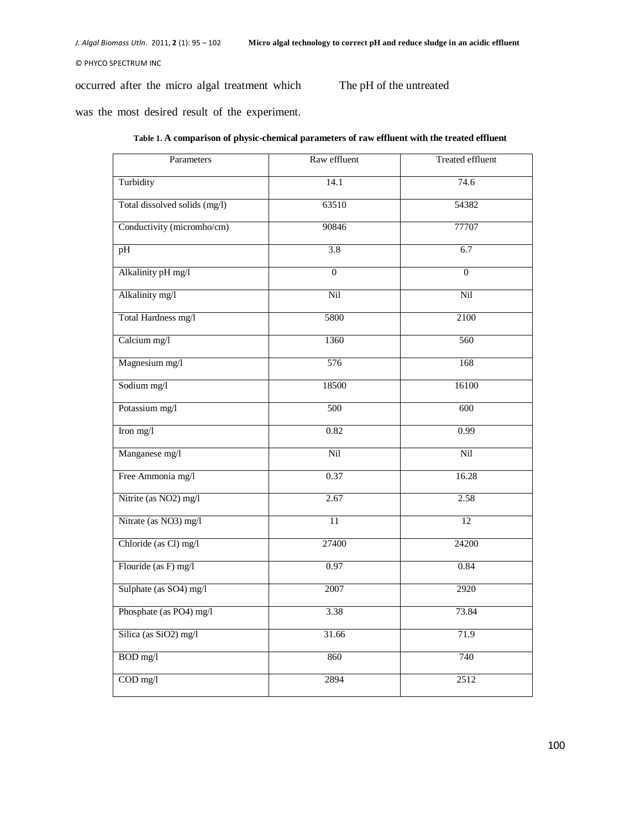occurred after the micro algal treatment which

The pH of the untreated

was the most desired result of the experiment.

| Parameters                    | Raw effluent   | <b>Treated effluent</b> |
|-------------------------------|----------------|-------------------------|
| Turbidity                     | 14.1           | 74.6                    |
| Total dissolved solids (mg/l) | 63510          | 54382                   |
| Conductivity (micromho/cm)    | 90846          | 77707                   |
| pH                            | 3.8            | 6.7                     |
| Alkalinity pH mg/l            | $\overline{0}$ | $\overline{0}$          |
| Alkalinity mg/l               | Nil            | Nil                     |
| Total Hardness mg/l           | 5800           | 2100                    |
| Calcium mg/l                  | 1360           | 560                     |
| Magnesium mg/l                | 576            | 168                     |
| Sodium mg/l                   | 18500          | 16100                   |
| Potassium mg/l                | 500            | 600                     |
| Iron mg/l                     | 0.82           | 0.99                    |
| Manganese mg/l                | Nil            | Nil                     |
| Free Ammonia mg/l             | 0.37           | 16.28                   |
| Nitrite (as NO2) mg/l         | 2.67           | 2.58                    |
| Nitrate (as NO3) mg/l         | 11             | 12                      |
| Chloride (as Cl) mg/l         | 27400          | 24200                   |
| Flouride (as F) mg/l          | 0.97           | 0.84                    |
| Sulphate (as SO4) mg/l        | 2007           | 2920                    |
| Phosphate (as PO4) mg/l       | 3.38           | 73.84                   |
| Silica (as SiO2) mg/l         | 31.66          | 71.9                    |
| BOD mg/l                      | 860            | 740                     |
| $COD$ mg/l                    | 2894           | 2512                    |

## **Table 1. A comparison of physic-chemical parameters of raw effluent with the treated effluent**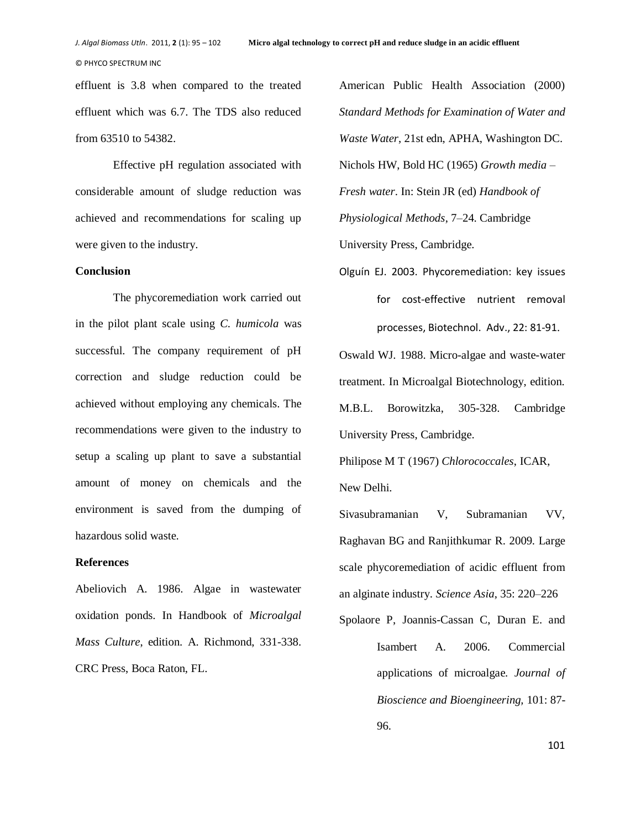effluent is 3.8 when compared to the treated effluent which was 6.7. The TDS also reduced from 63510 to 54382.

Effective pH regulation associated with considerable amount of sludge reduction was achieved and recommendations for scaling up were given to the industry.

#### **Conclusion**

The phycoremediation work carried out in the pilot plant scale using *C. humicola* was successful. The company requirement of pH correction and sludge reduction could be achieved without employing any chemicals. The recommendations were given to the industry to setup a scaling up plant to save a substantial amount of money on chemicals and the environment is saved from the dumping of hazardous solid waste.

## **References**

Abeliovich A. 1986. Algae in wastewater oxidation ponds. In Handbook of *Microalgal Mass Culture*, edition. A. Richmond, 331-338. CRC Press, Boca Raton, FL.

American Public Health Association (2000) *Standard Methods for Examination of Water and Waste Water*, 21st edn, APHA, Washington DC. Nichols HW, Bold HC (1965) *Growth media – Fresh water*. In: Stein JR (ed) *Handbook of Physiological Methods*, 7–24. Cambridge University Press, Cambridge.

Olguín EJ. 2003. Phycoremediation: key issues for cost-effective nutrient removal processes, Biotechnol. Adv., 22: 81-91.

Oswald WJ. 1988. Micro-algae and waste-water treatment. In Microalgal Biotechnology, edition. M.B.L. Borowitzka, 305-328. Cambridge University Press, Cambridge.

Philipose M T (1967) *Chlorococcales*, ICAR, New Delhi.

Sivasubramanian V, Subramanian VV, Raghavan BG and Ranjithkumar R. 2009. Large scale phycoremediation of acidic effluent from an alginate industry. *Science Asia*, 35: 220–226

Spolaore P, Joannis-Cassan C, Duran E. and Isambert A. 2006. Commercial applications of microalgae. *Journal of Bioscience and Bioengineering,* 101: 87- 96.